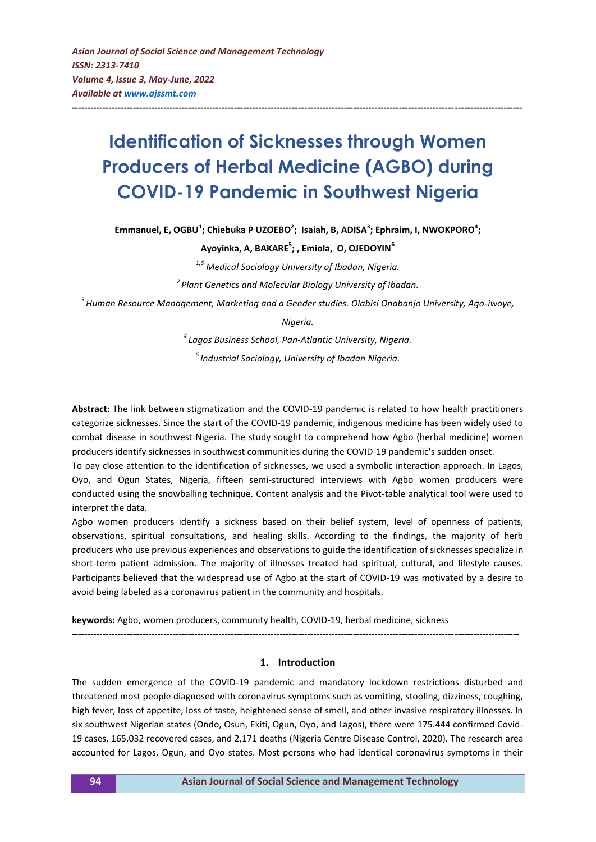# **Identification of Sicknesses through Women Producers of Herbal Medicine (AGBO) during COVID-19 Pandemic in Southwest Nigeria**

**---------------------------------------------------------------------------------------------------------------------------------------------------**

**Emmanuel, E, OGBU<sup>1</sup> ; Chiebuka P UZOEBO<sup>2</sup> ; Isaiah, B, ADISA<sup>3</sup> ; Ephraim, I, NWOKPORO<sup>4</sup> ;**

**Ayoyinka, A, BAKARE<sup>5</sup> ; , Emiola, O, OJEDOYIN<sup>6</sup>**

*1,6 Medical Sociology University of Ibadan, Nigeria.*

*2 Plant Genetics and Molecular Biology University of Ibadan.*

*3 Human Resource Management, Marketing and a Gender studies. Olabisi Onabanjo University, Ago-iwoye,* 

*Nigeria.*

*4 Lagos Business School, Pan-Atlantic University, Nigeria.*

*5 Industrial Sociology, University of Ibadan Nigeria.*

**Abstract:** The link between stigmatization and the COVID-19 pandemic is related to how health practitioners categorize sicknesses. Since the start of the COVID-19 pandemic, indigenous medicine has been widely used to combat disease in southwest Nigeria. The study sought to comprehend how Agbo (herbal medicine) women producers identify sicknesses in southwest communities during the COVID-19 pandemic's sudden onset.

To pay close attention to the identification of sicknesses, we used a symbolic interaction approach. In Lagos, Oyo, and Ogun States, Nigeria, fifteen semi-structured interviews with Agbo women producers were conducted using the snowballing technique. Content analysis and the Pivot-table analytical tool were used to interpret the data.

Agbo women producers identify a sickness based on their belief system, level of openness of patients, observations, spiritual consultations, and healing skills. According to the findings, the majority of herb producers who use previous experiences and observations to guide the identification of sicknesses specialize in short-term patient admission. The majority of illnesses treated had spiritual, cultural, and lifestyle causes. Participants believed that the widespread use of Agbo at the start of COVID-19 was motivated by a desire to avoid being labeled as a coronavirus patient in the community and hospitals.

**keywords:** Agbo, women producers, community health, COVID-19, herbal medicine, sickness

**--------------------------------------------------------------------------------------------------------------------------------------------------**

## **1. Introduction**

The sudden emergence of the COVID-19 pandemic and mandatory lockdown restrictions disturbed and threatened most people diagnosed with coronavirus symptoms such as vomiting, stooling, dizziness, coughing, high fever, loss of appetite, loss of taste, heightened sense of smell, and other invasive respiratory illnesses. In six southwest Nigerian states (Ondo, Osun, Ekiti, Ogun, Oyo, and Lagos), there were 175.444 confirmed Covid-19 cases, 165,032 recovered cases, and 2,171 deaths (Nigeria Centre Disease Control, 2020). The research area accounted for Lagos, Ogun, and Oyo states. Most persons who had identical coronavirus symptoms in their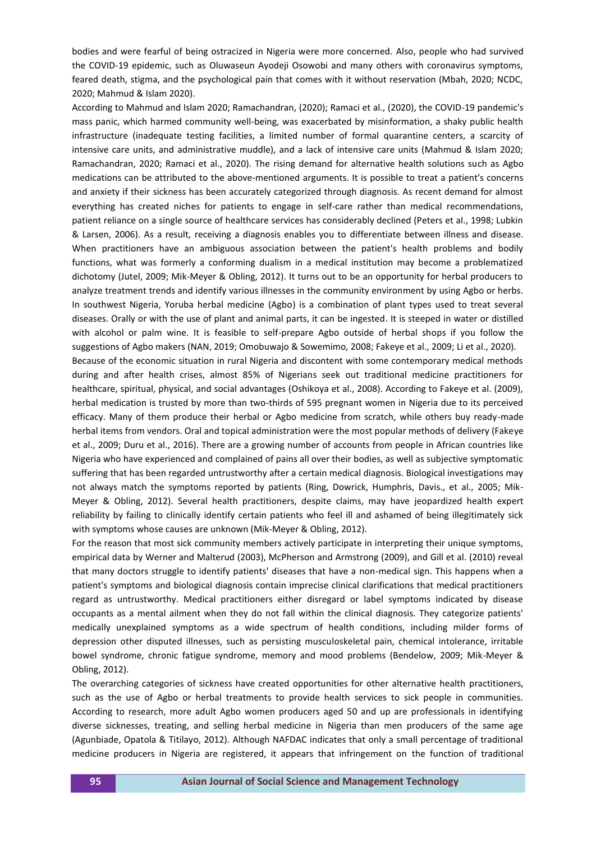bodies and were fearful of being ostracized in Nigeria were more concerned. Also, people who had survived the COVID-19 epidemic, such as Oluwaseun Ayodeji Osowobi and many others with coronavirus symptoms, feared death, stigma, and the psychological pain that comes with it without reservation (Mbah, 2020; NCDC, 2020; Mahmud & Islam 2020).

According to Mahmud and Islam 2020; Ramachandran, (2020); Ramaci et al., (2020), the COVID-19 pandemic's mass panic, which harmed community well-being, was exacerbated by misinformation, a shaky public health infrastructure (inadequate testing facilities, a limited number of formal quarantine centers, a scarcity of intensive care units, and administrative muddle), and a lack of intensive care units (Mahmud & Islam 2020; Ramachandran, 2020; Ramaci et al., 2020). The rising demand for alternative health solutions such as Agbo medications can be attributed to the above-mentioned arguments. It is possible to treat a patient's concerns and anxiety if their sickness has been accurately categorized through diagnosis. As recent demand for almost everything has created niches for patients to engage in self-care rather than medical recommendations, patient reliance on a single source of healthcare services has considerably declined (Peters et al., 1998; Lubkin & Larsen, 2006). As a result, receiving a diagnosis enables you to differentiate between illness and disease. When practitioners have an ambiguous association between the patient's health problems and bodily functions, what was formerly a conforming dualism in a medical institution may become a problematized dichotomy (Jutel, 2009; Mik-Meyer & Obling, 2012). It turns out to be an opportunity for herbal producers to analyze treatment trends and identify various illnesses in the community environment by using Agbo or herbs. In southwest Nigeria, Yoruba herbal medicine (Agbo) is a combination of plant types used to treat several diseases. Orally or with the use of plant and animal parts, it can be ingested. It is steeped in water or distilled with alcohol or palm wine. It is feasible to self-prepare Agbo outside of herbal shops if you follow the suggestions of Agbo makers (NAN, 2019; Omobuwajo & Sowemimo, 2008; Fakeye et al., 2009; Li et al., 2020). Because of the economic situation in rural Nigeria and discontent with some contemporary medical methods

during and after health crises, almost 85% of Nigerians seek out traditional medicine practitioners for healthcare, spiritual, physical, and social advantages (Oshikoya et al., 2008). According to Fakeye et al. (2009), herbal medication is trusted by more than two-thirds of 595 pregnant women in Nigeria due to its perceived efficacy. Many of them produce their herbal or Agbo medicine from scratch, while others buy ready-made herbal items from vendors. Oral and topical administration were the most popular methods of delivery (Fakeye et al., 2009; Duru et al., 2016). There are a growing number of accounts from people in African countries like Nigeria who have experienced and complained of pains all over their bodies, as well as subjective symptomatic suffering that has been regarded untrustworthy after a certain medical diagnosis. Biological investigations may not always match the symptoms reported by patients (Ring, Dowrick, Humphris, Davis., et al., 2005; Mik-Meyer & Obling, 2012). Several health practitioners, despite claims, may have jeopardized health expert reliability by failing to clinically identify certain patients who feel ill and ashamed of being illegitimately sick with symptoms whose causes are unknown (Mik-Meyer & Obling, 2012).

For the reason that most sick community members actively participate in interpreting their unique symptoms, empirical data by Werner and Malterud (2003), McPherson and Armstrong (2009), and Gill et al. (2010) reveal that many doctors struggle to identify patients' diseases that have a non-medical sign. This happens when a patient's symptoms and biological diagnosis contain imprecise clinical clarifications that medical practitioners regard as untrustworthy. Medical practitioners either disregard or label symptoms indicated by disease occupants as a mental ailment when they do not fall within the clinical diagnosis. They categorize patients' medically unexplained symptoms as a wide spectrum of health conditions, including milder forms of depression other disputed illnesses, such as persisting musculoskeletal pain, chemical intolerance, irritable bowel syndrome, chronic fatigue syndrome, memory and mood problems (Bendelow, 2009; Mik-Meyer & Obling, 2012).

The overarching categories of sickness have created opportunities for other alternative health practitioners, such as the use of Agbo or herbal treatments to provide health services to sick people in communities. According to research, more adult Agbo women producers aged 50 and up are professionals in identifying diverse sicknesses, treating, and selling herbal medicine in Nigeria than men producers of the same age (Agunbiade, Opatola & Titilayo, 2012). Although NAFDAC indicates that only a small percentage of traditional medicine producers in Nigeria are registered, it appears that infringement on the function of traditional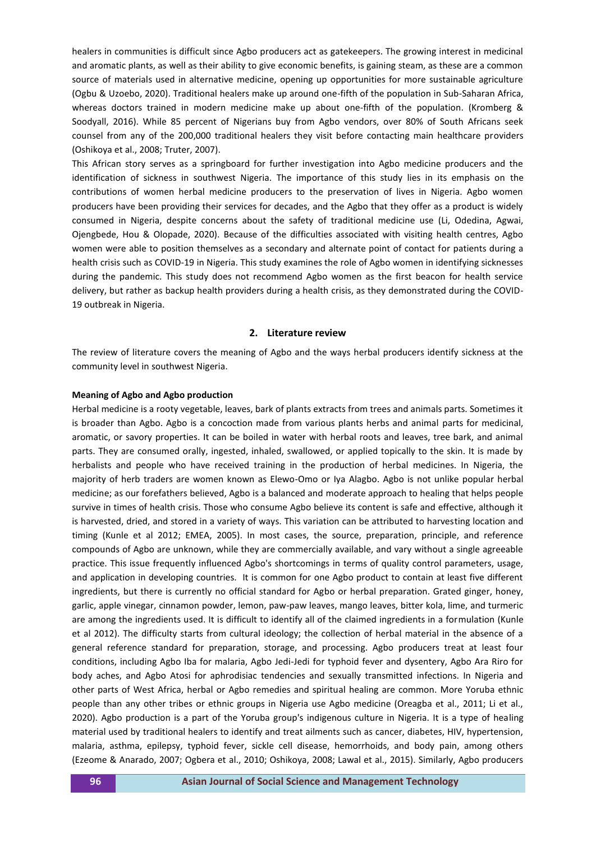healers in communities is difficult since Agbo producers act as gatekeepers. The growing interest in medicinal and aromatic plants, as well as their ability to give economic benefits, is gaining steam, as these are a common source of materials used in alternative medicine, opening up opportunities for more sustainable agriculture (Ogbu & Uzoebo, 2020). Traditional healers make up around one-fifth of the population in Sub-Saharan Africa, whereas doctors trained in modern medicine make up about one-fifth of the population. (Kromberg & Soodyall, 2016). While 85 percent of Nigerians buy from Agbo vendors, over 80% of South Africans seek counsel from any of the 200,000 traditional healers they visit before contacting main healthcare providers (Oshikoya et al., 2008; Truter, 2007).

This African story serves as a springboard for further investigation into Agbo medicine producers and the identification of sickness in southwest Nigeria. The importance of this study lies in its emphasis on the contributions of women herbal medicine producers to the preservation of lives in Nigeria. Agbo women producers have been providing their services for decades, and the Agbo that they offer as a product is widely consumed in Nigeria, despite concerns about the safety of traditional medicine use (Li, Odedina, Agwai, Ojengbede, Hou & Olopade, 2020). Because of the difficulties associated with visiting health centres, Agbo women were able to position themselves as a secondary and alternate point of contact for patients during a health crisis such as COVID-19 in Nigeria. This study examines the role of Agbo women in identifying sicknesses during the pandemic. This study does not recommend Agbo women as the first beacon for health service delivery, but rather as backup health providers during a health crisis, as they demonstrated during the COVID-19 outbreak in Nigeria.

#### **2. Literature review**

The review of literature covers the meaning of Agbo and the ways herbal producers identify sickness at the community level in southwest Nigeria.

#### **Meaning of Agbo and Agbo production**

Herbal medicine is a rooty vegetable, leaves, bark of plants extracts from trees and animals parts. Sometimes it is broader than Agbo. Agbo is a concoction made from various plants herbs and animal parts for medicinal, aromatic, or savory properties. It can be boiled in water with herbal roots and leaves, tree bark, and animal parts. They are consumed orally, ingested, inhaled, swallowed, or applied topically to the skin. It is made by herbalists and people who have received training in the production of herbal medicines. In Nigeria, the majority of herb traders are women known as Elewo-Omo or Iya Alagbo. Agbo is not unlike popular herbal medicine; as our forefathers believed, Agbo is a balanced and moderate approach to healing that helps people survive in times of health crisis. Those who consume Agbo believe its content is safe and effective, although it is harvested, dried, and stored in a variety of ways. This variation can be attributed to harvesting location and timing (Kunle et al 2012; EMEA, 2005). In most cases, the source, preparation, principle, and reference compounds of Agbo are unknown, while they are commercially available, and vary without a single agreeable practice. This issue frequently influenced Agbo's shortcomings in terms of quality control parameters, usage, and application in developing countries. It is common for one Agbo product to contain at least five different ingredients, but there is currently no official standard for Agbo or herbal preparation. Grated ginger, honey, garlic, apple vinegar, cinnamon powder, lemon, paw-paw leaves, mango leaves, bitter kola, lime, and turmeric are among the ingredients used. It is difficult to identify all of the claimed ingredients in a formulation (Kunle et al 2012). The difficulty starts from cultural ideology; the collection of herbal material in the absence of a general reference standard for preparation, storage, and processing. Agbo producers treat at least four conditions, including Agbo Iba for malaria, Agbo Jedi-Jedi for typhoid fever and dysentery, Agbo Ara Riro for body aches, and Agbo Atosi for aphrodisiac tendencies and sexually transmitted infections. In Nigeria and other parts of West Africa, herbal or Agbo remedies and spiritual healing are common. More Yoruba ethnic people than any other tribes or ethnic groups in Nigeria use Agbo medicine (Oreagba et al., 2011; Li et al., 2020). Agbo production is a part of the Yoruba group's indigenous culture in Nigeria. It is a type of healing material used by traditional healers to identify and treat ailments such as cancer, diabetes, HIV, hypertension, malaria, asthma, epilepsy, typhoid fever, sickle cell disease, hemorrhoids, and body pain, among others (Ezeome & Anarado, 2007; Ogbera et al., 2010; Oshikoya, 2008; Lawal et al., 2015). Similarly, Agbo producers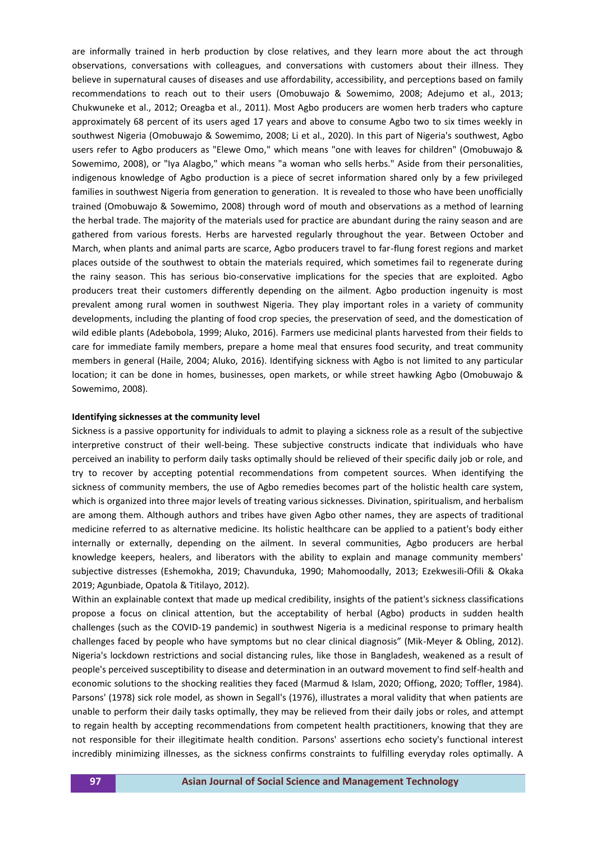are informally trained in herb production by close relatives, and they learn more about the act through observations, conversations with colleagues, and conversations with customers about their illness. They believe in supernatural causes of diseases and use affordability, accessibility, and perceptions based on family recommendations to reach out to their users (Omobuwajo & Sowemimo, 2008; Adejumo et al., 2013; Chukwuneke et al., 2012; Oreagba et al., 2011). Most Agbo producers are women herb traders who capture approximately 68 percent of its users aged 17 years and above to consume Agbo two to six times weekly in southwest Nigeria (Omobuwajo & Sowemimo, 2008; Li et al., 2020). In this part of Nigeria's southwest, Agbo users refer to Agbo producers as "Elewe Omo," which means "one with leaves for children" (Omobuwajo & Sowemimo, 2008), or "Iya Alagbo," which means "a woman who sells herbs." Aside from their personalities, indigenous knowledge of Agbo production is a piece of secret information shared only by a few privileged families in southwest Nigeria from generation to generation. It is revealed to those who have been unofficially trained (Omobuwajo & Sowemimo, 2008) through word of mouth and observations as a method of learning the herbal trade. The majority of the materials used for practice are abundant during the rainy season and are gathered from various forests. Herbs are harvested regularly throughout the year. Between October and March, when plants and animal parts are scarce, Agbo producers travel to far-flung forest regions and market places outside of the southwest to obtain the materials required, which sometimes fail to regenerate during the rainy season. This has serious bio-conservative implications for the species that are exploited. Agbo producers treat their customers differently depending on the ailment. Agbo production ingenuity is most prevalent among rural women in southwest Nigeria. They play important roles in a variety of community developments, including the planting of food crop species, the preservation of seed, and the domestication of wild edible plants (Adebobola, 1999; Aluko, 2016). Farmers use medicinal plants harvested from their fields to care for immediate family members, prepare a home meal that ensures food security, and treat community members in general (Haile, 2004; Aluko, 2016). Identifying sickness with Agbo is not limited to any particular location; it can be done in homes, businesses, open markets, or while street hawking Agbo (Omobuwajo & Sowemimo, 2008).

#### **Identifying sicknesses at the community level**

Sickness is a passive opportunity for individuals to admit to playing a sickness role as a result of the subjective interpretive construct of their well-being. These subjective constructs indicate that individuals who have perceived an inability to perform daily tasks optimally should be relieved of their specific daily job or role, and try to recover by accepting potential recommendations from competent sources. When identifying the sickness of community members, the use of Agbo remedies becomes part of the holistic health care system, which is organized into three major levels of treating various sicknesses. Divination, spiritualism, and herbalism are among them. Although authors and tribes have given Agbo other names, they are aspects of traditional medicine referred to as alternative medicine. Its holistic healthcare can be applied to a patient's body either internally or externally, depending on the ailment. In several communities, Agbo producers are herbal knowledge keepers, healers, and liberators with the ability to explain and manage community members' subjective distresses (Eshemokha, 2019; Chavunduka, 1990; Mahomoodally, 2013; Ezekwesili-Ofili & Okaka 2019; Agunbiade, Opatola & Titilayo, 2012).

Within an explainable context that made up medical credibility, insights of the patient's sickness classifications propose a focus on clinical attention, but the acceptability of herbal (Agbo) products in sudden health challenges (such as the COVID-19 pandemic) in southwest Nigeria is a medicinal response to primary health challenges faced by people who have symptoms but no clear clinical diagnosis" (Mik-Meyer & Obling, 2012). Nigeria's lockdown restrictions and social distancing rules, like those in Bangladesh, weakened as a result of people's perceived susceptibility to disease and determination in an outward movement to find self-health and economic solutions to the shocking realities they faced (Marmud & Islam, 2020; Offiong, 2020; Toffler, 1984). Parsons' (1978) sick role model, as shown in Segall's (1976), illustrates a moral validity that when patients are unable to perform their daily tasks optimally, they may be relieved from their daily jobs or roles, and attempt to regain health by accepting recommendations from competent health practitioners, knowing that they are not responsible for their illegitimate health condition. Parsons' assertions echo society's functional interest incredibly minimizing illnesses, as the sickness confirms constraints to fulfilling everyday roles optimally. A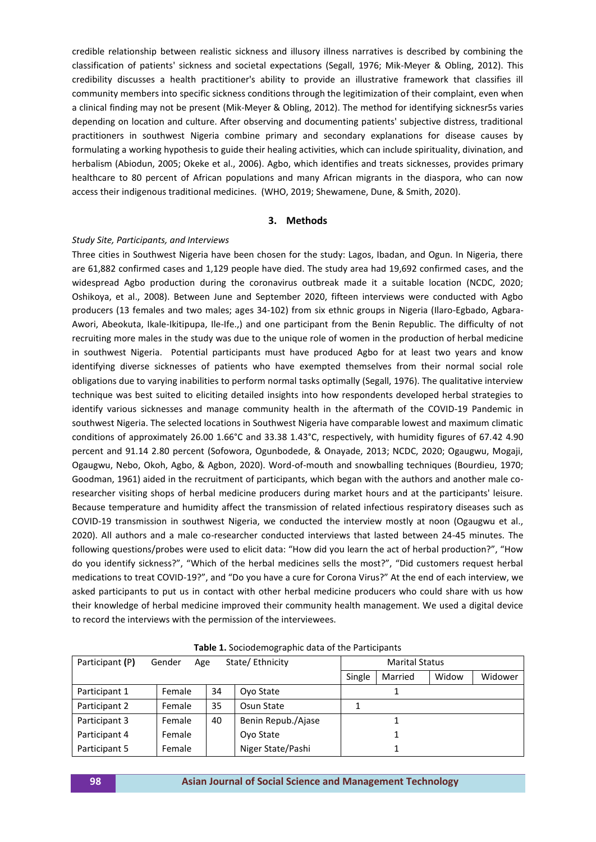credible relationship between realistic sickness and illusory illness narratives is described by combining the classification of patients' sickness and societal expectations (Segall, 1976; Mik-Meyer & Obling, 2012). This credibility discusses a health practitioner's ability to provide an illustrative framework that classifies ill community members into specific sickness conditions through the legitimization of their complaint, even when a clinical finding may not be present (Mik-Meyer & Obling, 2012). The method for identifying sicknesr5s varies depending on location and culture. After observing and documenting patients' subjective distress, traditional practitioners in southwest Nigeria combine primary and secondary explanations for disease causes by formulating a working hypothesis to guide their healing activities, which can include spirituality, divination, and herbalism (Abiodun, 2005; Okeke et al., 2006). Agbo, which identifies and treats sicknesses, provides primary healthcare to 80 percent of African populations and many African migrants in the diaspora, who can now access their indigenous traditional medicines. (WHO, 2019; Shewamene, Dune, & Smith, 2020).

### **3. Methods**

#### *Study Site, Participants, and Interviews*

Three cities in Southwest Nigeria have been chosen for the study: Lagos, Ibadan, and Ogun. In Nigeria, there are 61,882 confirmed cases and 1,129 people have died. The study area had 19,692 confirmed cases, and the widespread Agbo production during the coronavirus outbreak made it a suitable location (NCDC, 2020; Oshikoya, et al., 2008). Between June and September 2020, fifteen interviews were conducted with Agbo producers (13 females and two males; ages 34-102) from six ethnic groups in Nigeria (Ilaro-Egbado, Agbara-Awori, Abeokuta, Ikale-Ikitipupa, Ile-Ife.,) and one participant from the Benin Republic. The difficulty of not recruiting more males in the study was due to the unique role of women in the production of herbal medicine in southwest Nigeria. Potential participants must have produced Agbo for at least two years and know identifying diverse sicknesses of patients who have exempted themselves from their normal social role obligations due to varying inabilities to perform normal tasks optimally (Segall, 1976). The qualitative interview technique was best suited to eliciting detailed insights into how respondents developed herbal strategies to identify various sicknesses and manage community health in the aftermath of the COVID-19 Pandemic in southwest Nigeria. The selected locations in Southwest Nigeria have comparable lowest and maximum climatic conditions of approximately 26.00 1.66°C and 33.38 1.43°C, respectively, with humidity figures of 67.42 4.90 percent and 91.14 2.80 percent (Sofowora, Ogunbodede, & Onayade, 2013; NCDC, 2020; Ogaugwu, Mogaji, Ogaugwu, Nebo, Okoh, Agbo, & Agbon, 2020). Word-of-mouth and snowballing techniques (Bourdieu, 1970; Goodman, 1961) aided in the recruitment of participants, which began with the authors and another male coresearcher visiting shops of herbal medicine producers during market hours and at the participants' leisure. Because temperature and humidity affect the transmission of related infectious respiratory diseases such as COVID-19 transmission in southwest Nigeria, we conducted the interview mostly at noon (Ogaugwu et al., 2020). All authors and a male co-researcher conducted interviews that lasted between 24-45 minutes. The following questions/probes were used to elicit data: "How did you learn the act of herbal production?", "How do you identify sickness?", "Which of the herbal medicines sells the most?", "Did customers request herbal medications to treat COVID-19?", and "Do you have a cure for Corona Virus?" At the end of each interview, we asked participants to put us in contact with other herbal medicine producers who could share with us how their knowledge of herbal medicine improved their community health management. We used a digital device to record the interviews with the permission of the interviewees.

| Participant (P) | Gender | State/Ethnicity<br>Age |                    |  | <b>Marital Status</b> |       |         |  |
|-----------------|--------|------------------------|--------------------|--|-----------------------|-------|---------|--|
|                 |        |                        |                    |  | Married               | Widow | Widower |  |
| Participant 1   | Female | 34                     | Oyo State          |  |                       |       |         |  |
| Participant 2   | Female | 35                     | Osun State         |  |                       |       |         |  |
| Participant 3   | Female | 40                     | Benin Repub./Ajase |  |                       |       |         |  |
| Participant 4   | Female |                        | Ovo State          |  |                       |       |         |  |
| Participant 5   | Female |                        | Niger State/Pashi  |  |                       |       |         |  |

**Table 1.** Sociodemographic data of the Participants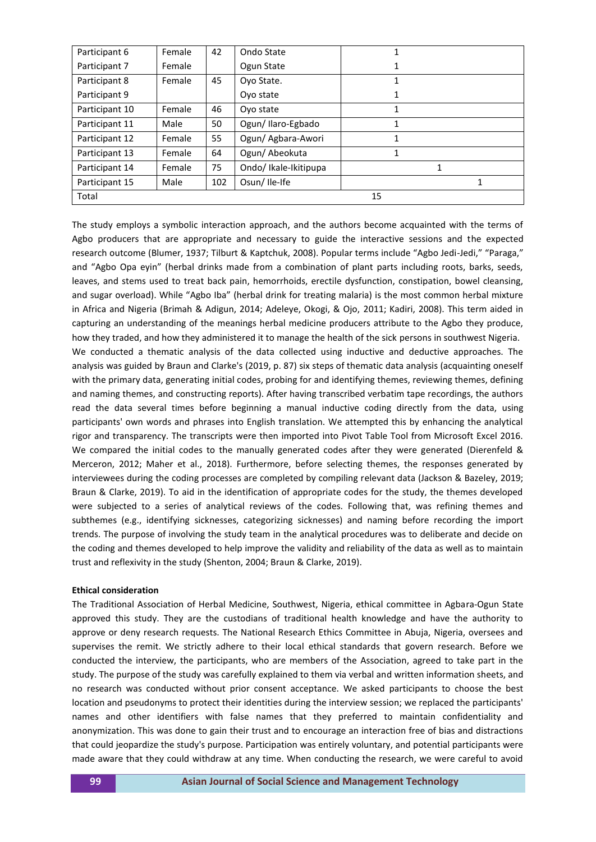| Participant 6  | Female | 42  | Ondo State            | 1  |   |
|----------------|--------|-----|-----------------------|----|---|
| Participant 7  | Female |     | Ogun State            | 1  |   |
| Participant 8  | Female | 45  | Ovo State.            | 1  |   |
| Participant 9  |        |     | Ovo state             | 1  |   |
| Participant 10 | Female | 46  | Ovo state             |    |   |
| Participant 11 | Male   | 50  | Ogun/Ilaro-Egbado     | 1  |   |
| Participant 12 | Female | 55  | Ogun/ Agbara-Awori    | 1  |   |
| Participant 13 | Female | 64  | Ogun/Abeokuta         | 1  |   |
| Participant 14 | Female | 75  | Ondo/ Ikale-Ikitipupa |    | 1 |
| Participant 15 | Male   | 102 | Osun/Ile-Ife          |    | 1 |
| Total          |        |     |                       | 15 |   |

The study employs a symbolic interaction approach, and the authors become acquainted with the terms of Agbo producers that are appropriate and necessary to guide the interactive sessions and the expected research outcome (Blumer, 1937; Tilburt & Kaptchuk, 2008). Popular terms include "Agbo Jedi-Jedi," "Paraga," and "Agbo Opa eyin" (herbal drinks made from a combination of plant parts including roots, barks, seeds, leaves, and stems used to treat back pain, hemorrhoids, erectile dysfunction, constipation, bowel cleansing, and sugar overload). While "Agbo Iba" (herbal drink for treating malaria) is the most common herbal mixture in Africa and Nigeria (Brimah & Adigun, 2014; Adeleye, Okogi, & Ojo, 2011; Kadiri, 2008). This term aided in capturing an understanding of the meanings herbal medicine producers attribute to the Agbo they produce, how they traded, and how they administered it to manage the health of the sick persons in southwest Nigeria. We conducted a thematic analysis of the data collected using inductive and deductive approaches. The analysis was guided by Braun and Clarke's (2019, p. 87) six steps of thematic data analysis (acquainting oneself with the primary data, generating initial codes, probing for and identifying themes, reviewing themes, defining and naming themes, and constructing reports). After having transcribed verbatim tape recordings, the authors read the data several times before beginning a manual inductive coding directly from the data, using participants' own words and phrases into English translation. We attempted this by enhancing the analytical rigor and transparency. The transcripts were then imported into Pivot Table Tool from Microsoft Excel 2016. We compared the initial codes to the manually generated codes after they were generated (Dierenfeld & Merceron, 2012; Maher et al., 2018). Furthermore, before selecting themes, the responses generated by interviewees during the coding processes are completed by compiling relevant data (Jackson & Bazeley, 2019; Braun & Clarke, 2019). To aid in the identification of appropriate codes for the study, the themes developed were subjected to a series of analytical reviews of the codes. Following that, was refining themes and subthemes (e.g., identifying sicknesses, categorizing sicknesses) and naming before recording the import trends. The purpose of involving the study team in the analytical procedures was to deliberate and decide on the coding and themes developed to help improve the validity and reliability of the data as well as to maintain trust and reflexivity in the study (Shenton, 2004; Braun & Clarke, 2019).

## **Ethical consideration**

The Traditional Association of Herbal Medicine, Southwest, Nigeria, ethical committee in Agbara-Ogun State approved this study. They are the custodians of traditional health knowledge and have the authority to approve or deny research requests. The National Research Ethics Committee in Abuja, Nigeria, oversees and supervises the remit. We strictly adhere to their local ethical standards that govern research. Before we conducted the interview, the participants, who are members of the Association, agreed to take part in the study. The purpose of the study was carefully explained to them via verbal and written information sheets, and no research was conducted without prior consent acceptance. We asked participants to choose the best location and pseudonyms to protect their identities during the interview session; we replaced the participants' names and other identifiers with false names that they preferred to maintain confidentiality and anonymization. This was done to gain their trust and to encourage an interaction free of bias and distractions that could jeopardize the study's purpose. Participation was entirely voluntary, and potential participants were made aware that they could withdraw at any time. When conducting the research, we were careful to avoid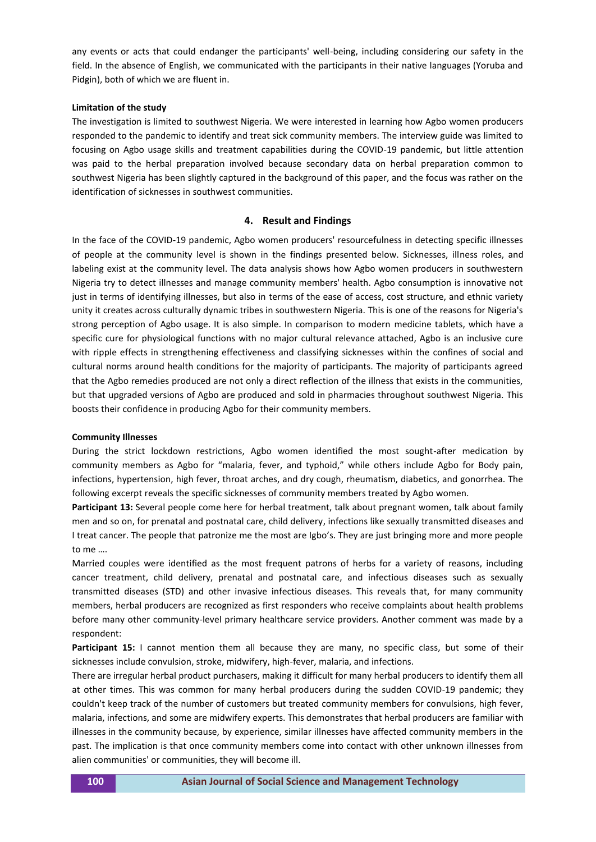any events or acts that could endanger the participants' well-being, including considering our safety in the field. In the absence of English, we communicated with the participants in their native languages (Yoruba and Pidgin), both of which we are fluent in.

## **Limitation of the study**

The investigation is limited to southwest Nigeria. We were interested in learning how Agbo women producers responded to the pandemic to identify and treat sick community members. The interview guide was limited to focusing on Agbo usage skills and treatment capabilities during the COVID-19 pandemic, but little attention was paid to the herbal preparation involved because secondary data on herbal preparation common to southwest Nigeria has been slightly captured in the background of this paper, and the focus was rather on the identification of sicknesses in southwest communities.

## **4. Result and Findings**

In the face of the COVID-19 pandemic, Agbo women producers' resourcefulness in detecting specific illnesses of people at the community level is shown in the findings presented below. Sicknesses, illness roles, and labeling exist at the community level. The data analysis shows how Agbo women producers in southwestern Nigeria try to detect illnesses and manage community members' health. Agbo consumption is innovative not just in terms of identifying illnesses, but also in terms of the ease of access, cost structure, and ethnic variety unity it creates across culturally dynamic tribes in southwestern Nigeria. This is one of the reasons for Nigeria's strong perception of Agbo usage. It is also simple. In comparison to modern medicine tablets, which have a specific cure for physiological functions with no major cultural relevance attached, Agbo is an inclusive cure with ripple effects in strengthening effectiveness and classifying sicknesses within the confines of social and cultural norms around health conditions for the majority of participants. The majority of participants agreed that the Agbo remedies produced are not only a direct reflection of the illness that exists in the communities, but that upgraded versions of Agbo are produced and sold in pharmacies throughout southwest Nigeria. This boosts their confidence in producing Agbo for their community members.

#### **Community Illnesses**

During the strict lockdown restrictions, Agbo women identified the most sought-after medication by community members as Agbo for "malaria, fever, and typhoid," while others include Agbo for Body pain, infections, hypertension, high fever, throat arches, and dry cough, rheumatism, diabetics, and gonorrhea. The following excerpt reveals the specific sicknesses of community members treated by Agbo women.

**Participant 13:** Several people come here for herbal treatment, talk about pregnant women, talk about family men and so on, for prenatal and postnatal care, child delivery, infections like sexually transmitted diseases and I treat cancer. The people that patronize me the most are Igbo's. They are just bringing more and more people to me ….

Married couples were identified as the most frequent patrons of herbs for a variety of reasons, including cancer treatment, child delivery, prenatal and postnatal care, and infectious diseases such as sexually transmitted diseases (STD) and other invasive infectious diseases. This reveals that, for many community members, herbal producers are recognized as first responders who receive complaints about health problems before many other community-level primary healthcare service providers. Another comment was made by a respondent:

**Participant 15:** I cannot mention them all because they are many, no specific class, but some of their sicknesses include convulsion, stroke, midwifery, high-fever, malaria, and infections.

There are irregular herbal product purchasers, making it difficult for many herbal producers to identify them all at other times. This was common for many herbal producers during the sudden COVID-19 pandemic; they couldn't keep track of the number of customers but treated community members for convulsions, high fever, malaria, infections, and some are midwifery experts. This demonstrates that herbal producers are familiar with illnesses in the community because, by experience, similar illnesses have affected community members in the past. The implication is that once community members come into contact with other unknown illnesses from alien communities' or communities, they will become ill.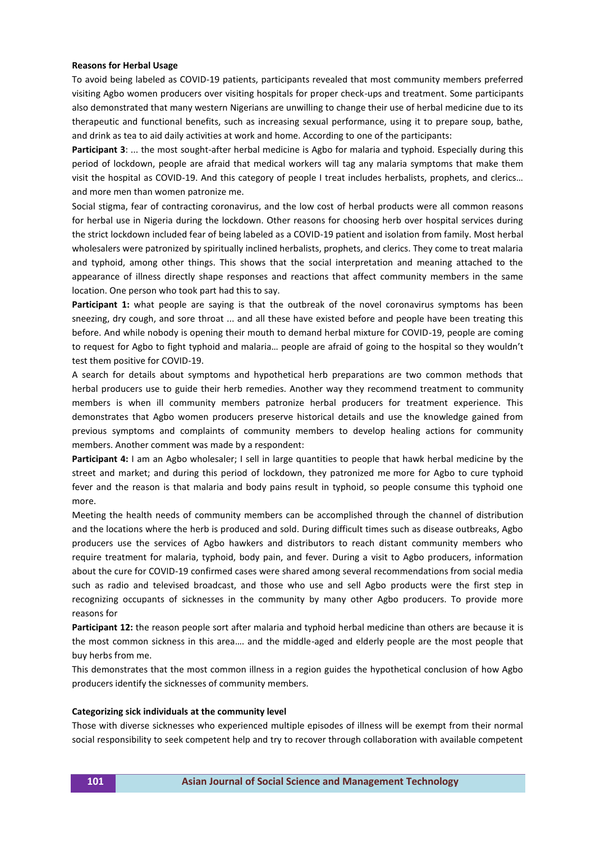#### **Reasons for Herbal Usage**

To avoid being labeled as COVID-19 patients, participants revealed that most community members preferred visiting Agbo women producers over visiting hospitals for proper check-ups and treatment. Some participants also demonstrated that many western Nigerians are unwilling to change their use of herbal medicine due to its therapeutic and functional benefits, such as increasing sexual performance, using it to prepare soup, bathe, and drink as tea to aid daily activities at work and home. According to one of the participants:

**Participant 3**: ... the most sought-after herbal medicine is Agbo for malaria and typhoid. Especially during this period of lockdown, people are afraid that medical workers will tag any malaria symptoms that make them visit the hospital as COVID-19. And this category of people I treat includes herbalists, prophets, and clerics… and more men than women patronize me.

Social stigma, fear of contracting coronavirus, and the low cost of herbal products were all common reasons for herbal use in Nigeria during the lockdown. Other reasons for choosing herb over hospital services during the strict lockdown included fear of being labeled as a COVID-19 patient and isolation from family. Most herbal wholesalers were patronized by spiritually inclined herbalists, prophets, and clerics. They come to treat malaria and typhoid, among other things. This shows that the social interpretation and meaning attached to the appearance of illness directly shape responses and reactions that affect community members in the same location. One person who took part had this to say.

Participant 1: what people are saying is that the outbreak of the novel coronavirus symptoms has been sneezing, dry cough, and sore throat ... and all these have existed before and people have been treating this before. And while nobody is opening their mouth to demand herbal mixture for COVID-19, people are coming to request for Agbo to fight typhoid and malaria… people are afraid of going to the hospital so they wouldn't test them positive for COVID-19.

A search for details about symptoms and hypothetical herb preparations are two common methods that herbal producers use to guide their herb remedies. Another way they recommend treatment to community members is when ill community members patronize herbal producers for treatment experience. This demonstrates that Agbo women producers preserve historical details and use the knowledge gained from previous symptoms and complaints of community members to develop healing actions for community members. Another comment was made by a respondent:

**Participant 4:** I am an Agbo wholesaler; I sell in large quantities to people that hawk herbal medicine by the street and market; and during this period of lockdown, they patronized me more for Agbo to cure typhoid fever and the reason is that malaria and body pains result in typhoid, so people consume this typhoid one more.

Meeting the health needs of community members can be accomplished through the channel of distribution and the locations where the herb is produced and sold. During difficult times such as disease outbreaks, Agbo producers use the services of Agbo hawkers and distributors to reach distant community members who require treatment for malaria, typhoid, body pain, and fever. During a visit to Agbo producers, information about the cure for COVID-19 confirmed cases were shared among several recommendations from social media such as radio and televised broadcast, and those who use and sell Agbo products were the first step in recognizing occupants of sicknesses in the community by many other Agbo producers. To provide more reasons for

**Participant 12:** the reason people sort after malaria and typhoid herbal medicine than others are because it is the most common sickness in this area…. and the middle-aged and elderly people are the most people that buy herbs from me.

This demonstrates that the most common illness in a region guides the hypothetical conclusion of how Agbo producers identify the sicknesses of community members.

#### **Categorizing sick individuals at the community level**

Those with diverse sicknesses who experienced multiple episodes of illness will be exempt from their normal social responsibility to seek competent help and try to recover through collaboration with available competent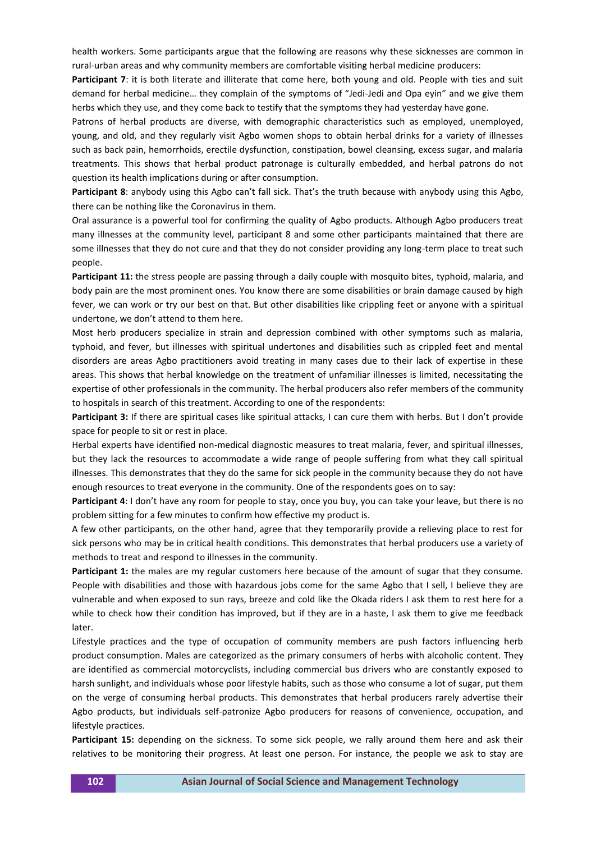health workers. Some participants argue that the following are reasons why these sicknesses are common in rural-urban areas and why community members are comfortable visiting herbal medicine producers:

Participant 7: it is both literate and illiterate that come here, both young and old. People with ties and suit demand for herbal medicine… they complain of the symptoms of "Jedi-Jedi and Opa eyin" and we give them herbs which they use, and they come back to testify that the symptoms they had yesterday have gone.

Patrons of herbal products are diverse, with demographic characteristics such as employed, unemployed, young, and old, and they regularly visit Agbo women shops to obtain herbal drinks for a variety of illnesses such as back pain, hemorrhoids, erectile dysfunction, constipation, bowel cleansing, excess sugar, and malaria treatments. This shows that herbal product patronage is culturally embedded, and herbal patrons do not question its health implications during or after consumption.

**Participant 8**: anybody using this Agbo can't fall sick. That's the truth because with anybody using this Agbo, there can be nothing like the Coronavirus in them.

Oral assurance is a powerful tool for confirming the quality of Agbo products. Although Agbo producers treat many illnesses at the community level, participant 8 and some other participants maintained that there are some illnesses that they do not cure and that they do not consider providing any long-term place to treat such people.

**Participant 11:** the stress people are passing through a daily couple with mosquito bites, typhoid, malaria, and body pain are the most prominent ones. You know there are some disabilities or brain damage caused by high fever, we can work or try our best on that. But other disabilities like crippling feet or anyone with a spiritual undertone, we don't attend to them here.

Most herb producers specialize in strain and depression combined with other symptoms such as malaria, typhoid, and fever, but illnesses with spiritual undertones and disabilities such as crippled feet and mental disorders are areas Agbo practitioners avoid treating in many cases due to their lack of expertise in these areas. This shows that herbal knowledge on the treatment of unfamiliar illnesses is limited, necessitating the expertise of other professionals in the community. The herbal producers also refer members of the community to hospitals in search of this treatment. According to one of the respondents:

Participant 3: If there are spiritual cases like spiritual attacks, I can cure them with herbs. But I don't provide space for people to sit or rest in place.

Herbal experts have identified non-medical diagnostic measures to treat malaria, fever, and spiritual illnesses, but they lack the resources to accommodate a wide range of people suffering from what they call spiritual illnesses. This demonstrates that they do the same for sick people in the community because they do not have enough resources to treat everyone in the community. One of the respondents goes on to say:

**Participant 4**: I don't have any room for people to stay, once you buy, you can take your leave, but there is no problem sitting for a few minutes to confirm how effective my product is.

A few other participants, on the other hand, agree that they temporarily provide a relieving place to rest for sick persons who may be in critical health conditions. This demonstrates that herbal producers use a variety of methods to treat and respond to illnesses in the community.

**Participant 1:** the males are my regular customers here because of the amount of sugar that they consume. People with disabilities and those with hazardous jobs come for the same Agbo that I sell, I believe they are vulnerable and when exposed to sun rays, breeze and cold like the Okada riders I ask them to rest here for a while to check how their condition has improved, but if they are in a haste, I ask them to give me feedback later.

Lifestyle practices and the type of occupation of community members are push factors influencing herb product consumption. Males are categorized as the primary consumers of herbs with alcoholic content. They are identified as commercial motorcyclists, including commercial bus drivers who are constantly exposed to harsh sunlight, and individuals whose poor lifestyle habits, such as those who consume a lot of sugar, put them on the verge of consuming herbal products. This demonstrates that herbal producers rarely advertise their Agbo products, but individuals self-patronize Agbo producers for reasons of convenience, occupation, and lifestyle practices.

**Participant 15:** depending on the sickness. To some sick people, we rally around them here and ask their relatives to be monitoring their progress. At least one person. For instance, the people we ask to stay are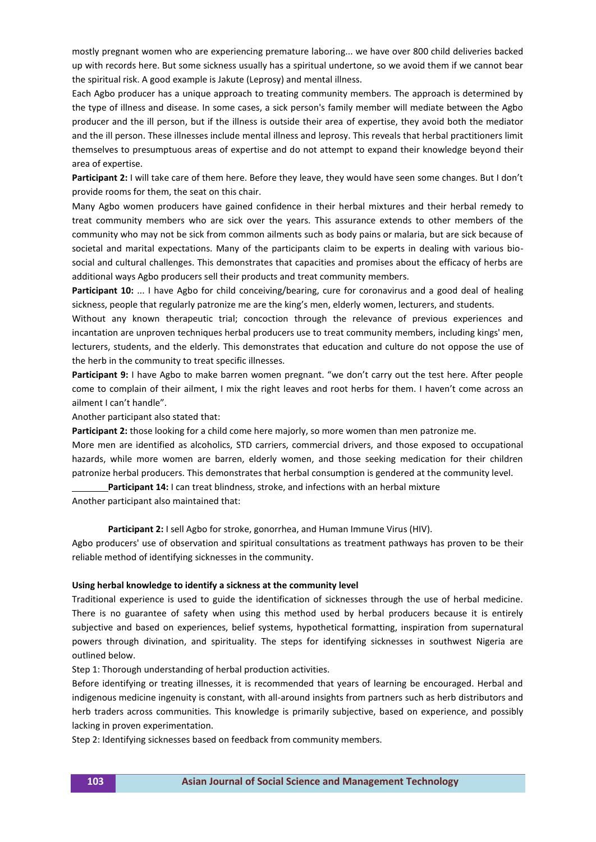mostly pregnant women who are experiencing premature laboring... we have over 800 child deliveries backed up with records here. But some sickness usually has a spiritual undertone, so we avoid them if we cannot bear the spiritual risk. A good example is Jakute (Leprosy) and mental illness.

Each Agbo producer has a unique approach to treating community members. The approach is determined by the type of illness and disease. In some cases, a sick person's family member will mediate between the Agbo producer and the ill person, but if the illness is outside their area of expertise, they avoid both the mediator and the ill person. These illnesses include mental illness and leprosy. This reveals that herbal practitioners limit themselves to presumptuous areas of expertise and do not attempt to expand their knowledge beyond their area of expertise.

**Participant 2:** I will take care of them here. Before they leave, they would have seen some changes. But I don't provide rooms for them, the seat on this chair.

Many Agbo women producers have gained confidence in their herbal mixtures and their herbal remedy to treat community members who are sick over the years. This assurance extends to other members of the community who may not be sick from common ailments such as body pains or malaria, but are sick because of societal and marital expectations. Many of the participants claim to be experts in dealing with various biosocial and cultural challenges. This demonstrates that capacities and promises about the efficacy of herbs are additional ways Agbo producers sell their products and treat community members.

**Participant 10:** ... I have Agbo for child conceiving/bearing, cure for coronavirus and a good deal of healing sickness, people that regularly patronize me are the king's men, elderly women, lecturers, and students.

Without any known therapeutic trial; concoction through the relevance of previous experiences and incantation are unproven techniques herbal producers use to treat community members, including kings' men, lecturers, students, and the elderly. This demonstrates that education and culture do not oppose the use of the herb in the community to treat specific illnesses.

**Participant 9:** I have Agbo to make barren women pregnant. "we don't carry out the test here. After people come to complain of their ailment, I mix the right leaves and root herbs for them. I haven't come across an ailment I can't handle".

Another participant also stated that:

**Participant 2:** those looking for a child come here majorly, so more women than men patronize me.

More men are identified as alcoholics, STD carriers, commercial drivers, and those exposed to occupational hazards, while more women are barren, elderly women, and those seeking medication for their children patronize herbal producers. This demonstrates that herbal consumption is gendered at the community level.

**Participant 14:** I can treat blindness, stroke, and infections with an herbal mixture Another participant also maintained that:

Participant 2: I sell Agbo for stroke, gonorrhea, and Human Immune Virus (HIV).

Agbo producers' use of observation and spiritual consultations as treatment pathways has proven to be their reliable method of identifying sicknesses in the community.

## **Using herbal knowledge to identify a sickness at the community level**

Traditional experience is used to guide the identification of sicknesses through the use of herbal medicine. There is no guarantee of safety when using this method used by herbal producers because it is entirely subjective and based on experiences, belief systems, hypothetical formatting, inspiration from supernatural powers through divination, and spirituality. The steps for identifying sicknesses in southwest Nigeria are outlined below.

Step 1: Thorough understanding of herbal production activities.

Before identifying or treating illnesses, it is recommended that years of learning be encouraged. Herbal and indigenous medicine ingenuity is constant, with all-around insights from partners such as herb distributors and herb traders across communities. This knowledge is primarily subjective, based on experience, and possibly lacking in proven experimentation.

Step 2: Identifying sicknesses based on feedback from community members.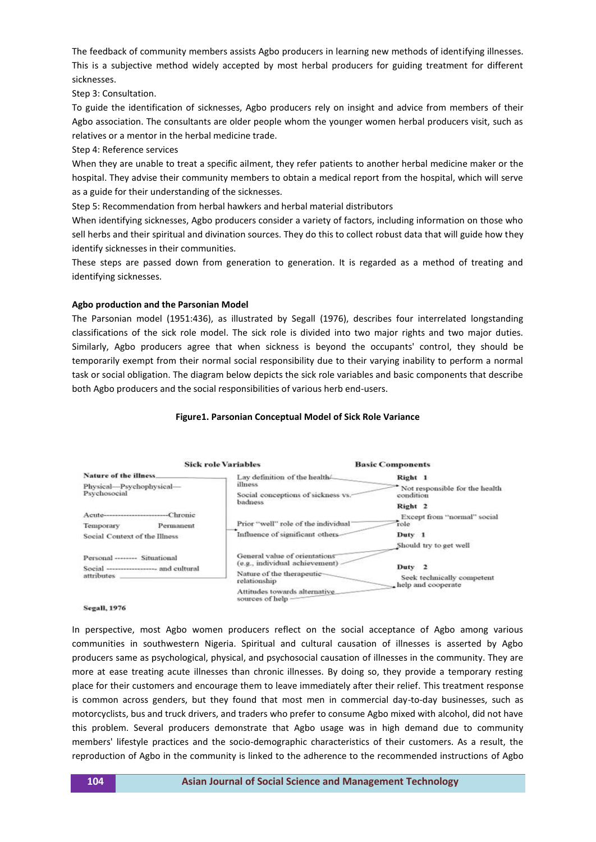The feedback of community members assists Agbo producers in learning new methods of identifying illnesses. This is a subjective method widely accepted by most herbal producers for guiding treatment for different sicknesses.

Step 3: Consultation.

To guide the identification of sicknesses, Agbo producers rely on insight and advice from members of their Agbo association. The consultants are older people whom the younger women herbal producers visit, such as relatives or a mentor in the herbal medicine trade.

Step 4: Reference services

When they are unable to treat a specific ailment, they refer patients to another herbal medicine maker or the hospital. They advise their community members to obtain a medical report from the hospital, which will serve as a guide for their understanding of the sicknesses.

Step 5: Recommendation from herbal hawkers and herbal material distributors

When identifying sicknesses, Agbo producers consider a variety of factors, including information on those who sell herbs and their spiritual and divination sources. They do this to collect robust data that will guide how they identify sicknesses in their communities.

These steps are passed down from generation to generation. It is regarded as a method of treating and identifying sicknesses.

## **Agbo production and the Parsonian Model**

The Parsonian model (1951:436), as illustrated by Segall (1976), describes four interrelated longstanding classifications of the sick role model. The sick role is divided into two major rights and two major duties. Similarly, Agbo producers agree that when sickness is beyond the occupants' control, they should be temporarily exempt from their normal social responsibility due to their varying inability to perform a normal task or social obligation. The diagram below depicts the sick role variables and basic components that describe both Agbo producers and the social responsibilities of various herb end-users.

## **Figure1. Parsonian Conceptual Model of Sick Role Variance**



**Segall**, 1976

In perspective, most Agbo women producers reflect on the social acceptance of Agbo among various communities in southwestern Nigeria. Spiritual and cultural causation of illnesses is asserted by Agbo producers same as psychological, physical, and psychosocial causation of illnesses in the community. They are more at ease treating acute illnesses than chronic illnesses. By doing so, they provide a temporary resting place for their customers and encourage them to leave immediately after their relief. This treatment response is common across genders, but they found that most men in commercial day-to-day businesses, such as motorcyclists, bus and truck drivers, and traders who prefer to consume Agbo mixed with alcohol, did not have this problem. Several producers demonstrate that Agbo usage was in high demand due to community members' lifestyle practices and the socio-demographic characteristics of their customers. As a result, the reproduction of Agbo in the community is linked to the adherence to the recommended instructions of Agbo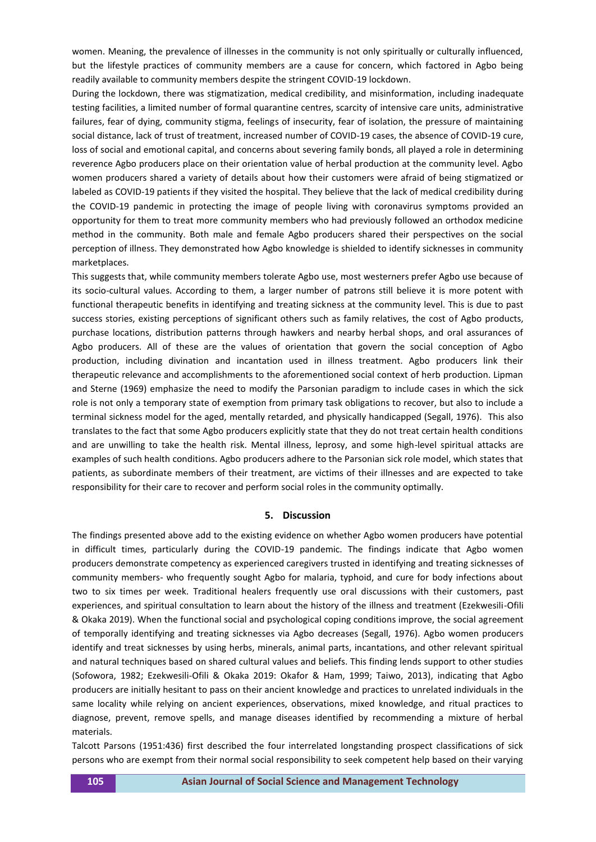women. Meaning, the prevalence of illnesses in the community is not only spiritually or culturally influenced, but the lifestyle practices of community members are a cause for concern, which factored in Agbo being readily available to community members despite the stringent COVID-19 lockdown.

During the lockdown, there was stigmatization, medical credibility, and misinformation, including inadequate testing facilities, a limited number of formal quarantine centres, scarcity of intensive care units, administrative failures, fear of dying, community stigma, feelings of insecurity, fear of isolation, the pressure of maintaining social distance, lack of trust of treatment, increased number of COVID-19 cases, the absence of COVID-19 cure, loss of social and emotional capital, and concerns about severing family bonds, all played a role in determining reverence Agbo producers place on their orientation value of herbal production at the community level. Agbo women producers shared a variety of details about how their customers were afraid of being stigmatized or labeled as COVID-19 patients if they visited the hospital. They believe that the lack of medical credibility during the COVID-19 pandemic in protecting the image of people living with coronavirus symptoms provided an opportunity for them to treat more community members who had previously followed an orthodox medicine method in the community. Both male and female Agbo producers shared their perspectives on the social perception of illness. They demonstrated how Agbo knowledge is shielded to identify sicknesses in community marketplaces.

This suggests that, while community members tolerate Agbo use, most westerners prefer Agbo use because of its socio-cultural values. According to them, a larger number of patrons still believe it is more potent with functional therapeutic benefits in identifying and treating sickness at the community level. This is due to past success stories, existing perceptions of significant others such as family relatives, the cost of Agbo products, purchase locations, distribution patterns through hawkers and nearby herbal shops, and oral assurances of Agbo producers. All of these are the values of orientation that govern the social conception of Agbo production, including divination and incantation used in illness treatment. Agbo producers link their therapeutic relevance and accomplishments to the aforementioned social context of herb production. Lipman and Sterne (1969) emphasize the need to modify the Parsonian paradigm to include cases in which the sick role is not only a temporary state of exemption from primary task obligations to recover, but also to include a terminal sickness model for the aged, mentally retarded, and physically handicapped (Segall, 1976). This also translates to the fact that some Agbo producers explicitly state that they do not treat certain health conditions and are unwilling to take the health risk. Mental illness, leprosy, and some high-level spiritual attacks are examples of such health conditions. Agbo producers adhere to the Parsonian sick role model, which states that patients, as subordinate members of their treatment, are victims of their illnesses and are expected to take responsibility for their care to recover and perform social roles in the community optimally.

## **5. Discussion**

The findings presented above add to the existing evidence on whether Agbo women producers have potential in difficult times, particularly during the COVID-19 pandemic. The findings indicate that Agbo women producers demonstrate competency as experienced caregivers trusted in identifying and treating sicknesses of community members- who frequently sought Agbo for malaria, typhoid, and cure for body infections about two to six times per week. Traditional healers frequently use oral discussions with their customers, past experiences, and spiritual consultation to learn about the history of the illness and treatment (Ezekwesili-Ofili & Okaka 2019). When the functional social and psychological coping conditions improve, the social agreement of temporally identifying and treating sicknesses via Agbo decreases (Segall, 1976). Agbo women producers identify and treat sicknesses by using herbs, minerals, animal parts, incantations, and other relevant spiritual and natural techniques based on shared cultural values and beliefs. This finding lends support to other studies (Sofowora, 1982; Ezekwesili-Ofili & Okaka 2019: Okafor & Ham, 1999; Taiwo, 2013), indicating that Agbo producers are initially hesitant to pass on their ancient knowledge and practices to unrelated individuals in the same locality while relying on ancient experiences, observations, mixed knowledge, and ritual practices to diagnose, prevent, remove spells, and manage diseases identified by recommending a mixture of herbal materials.

Talcott Parsons (1951:436) first described the four interrelated longstanding prospect classifications of sick persons who are exempt from their normal social responsibility to seek competent help based on their varying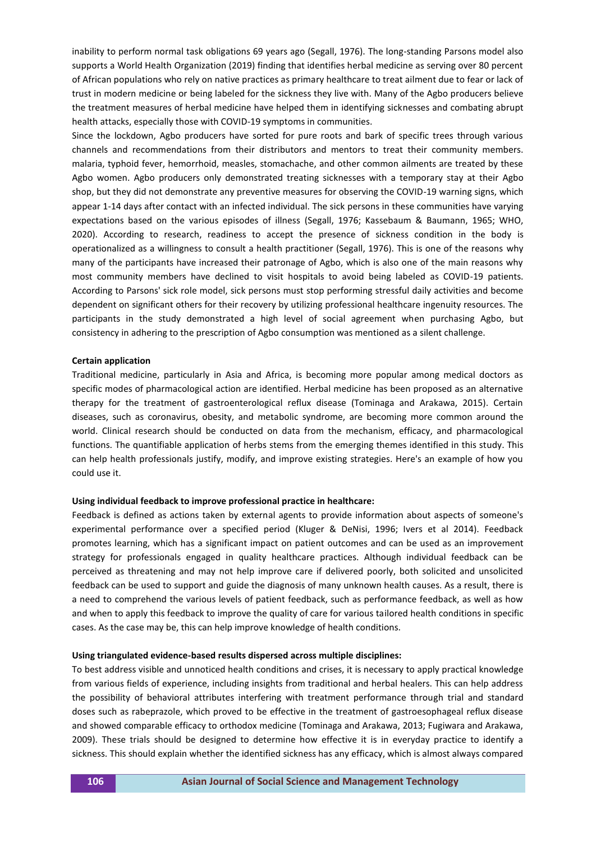inability to perform normal task obligations 69 years ago (Segall, 1976). The long-standing Parsons model also supports a World Health Organization (2019) finding that identifies herbal medicine as serving over 80 percent of African populations who rely on native practices as primary healthcare to treat ailment due to fear or lack of trust in modern medicine or being labeled for the sickness they live with. Many of the Agbo producers believe the treatment measures of herbal medicine have helped them in identifying sicknesses and combating abrupt health attacks, especially those with COVID-19 symptoms in communities.

Since the lockdown, Agbo producers have sorted for pure roots and bark of specific trees through various channels and recommendations from their distributors and mentors to treat their community members. malaria, typhoid fever, hemorrhoid, measles, stomachache, and other common ailments are treated by these Agbo women. Agbo producers only demonstrated treating sicknesses with a temporary stay at their Agbo shop, but they did not demonstrate any preventive measures for observing the COVID-19 warning signs, which appear 1-14 days after contact with an infected individual. The sick persons in these communities have varying expectations based on the various episodes of illness (Segall, 1976; Kassebaum & Baumann, 1965; WHO, 2020). According to research, readiness to accept the presence of sickness condition in the body is operationalized as a willingness to consult a health practitioner (Segall, 1976). This is one of the reasons why many of the participants have increased their patronage of Agbo, which is also one of the main reasons why most community members have declined to visit hospitals to avoid being labeled as COVID-19 patients. According to Parsons' sick role model, sick persons must stop performing stressful daily activities and become dependent on significant others for their recovery by utilizing professional healthcare ingenuity resources. The participants in the study demonstrated a high level of social agreement when purchasing Agbo, but consistency in adhering to the prescription of Agbo consumption was mentioned as a silent challenge.

#### **Certain application**

Traditional medicine, particularly in Asia and Africa, is becoming more popular among medical doctors as specific modes of pharmacological action are identified. Herbal medicine has been proposed as an alternative therapy for the treatment of gastroenterological reflux disease (Tominaga and Arakawa, 2015). Certain diseases, such as coronavirus, obesity, and metabolic syndrome, are becoming more common around the world. Clinical research should be conducted on data from the mechanism, efficacy, and pharmacological functions. The quantifiable application of herbs stems from the emerging themes identified in this study. This can help health professionals justify, modify, and improve existing strategies. Here's an example of how you could use it.

#### **Using individual feedback to improve professional practice in healthcare:**

Feedback is defined as actions taken by external agents to provide information about aspects of someone's experimental performance over a specified period (Kluger & DeNisi, 1996; Ivers et al 2014). Feedback promotes learning, which has a significant impact on patient outcomes and can be used as an improvement strategy for professionals engaged in quality healthcare practices. Although individual feedback can be perceived as threatening and may not help improve care if delivered poorly, both solicited and unsolicited feedback can be used to support and guide the diagnosis of many unknown health causes. As a result, there is a need to comprehend the various levels of patient feedback, such as performance feedback, as well as how and when to apply this feedback to improve the quality of care for various tailored health conditions in specific cases. As the case may be, this can help improve knowledge of health conditions.

#### **Using triangulated evidence-based results dispersed across multiple disciplines:**

To best address visible and unnoticed health conditions and crises, it is necessary to apply practical knowledge from various fields of experience, including insights from traditional and herbal healers. This can help address the possibility of behavioral attributes interfering with treatment performance through trial and standard doses such as rabeprazole, which proved to be effective in the treatment of gastroesophageal reflux disease and showed comparable efficacy to orthodox medicine (Tominaga and Arakawa, 2013; Fugiwara and Arakawa, 2009). These trials should be designed to determine how effective it is in everyday practice to identify a sickness. This should explain whether the identified sickness has any efficacy, which is almost always compared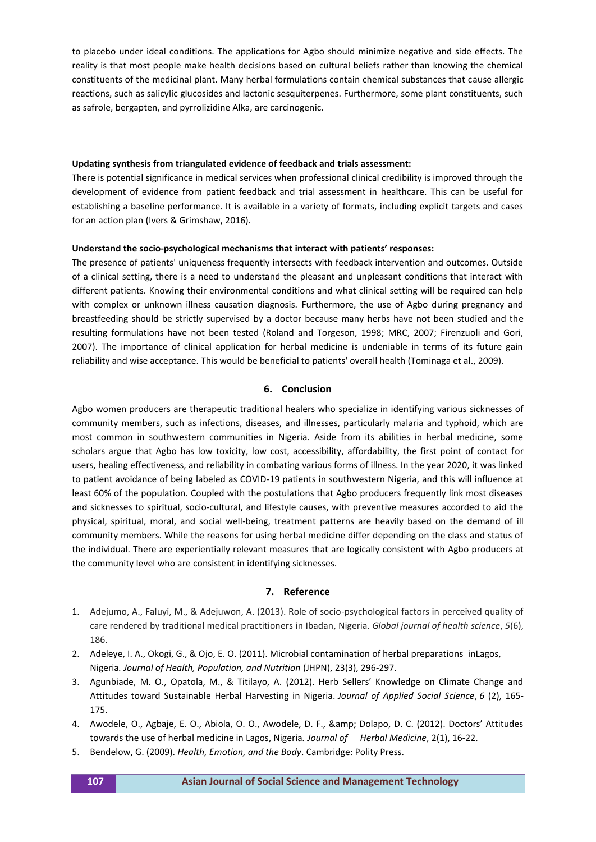to placebo under ideal conditions. The applications for Agbo should minimize negative and side effects. The reality is that most people make health decisions based on cultural beliefs rather than knowing the chemical constituents of the medicinal plant. Many herbal formulations contain chemical substances that cause allergic reactions, such as salicylic glucosides and lactonic sesquiterpenes. Furthermore, some plant constituents, such as safrole, bergapten, and pyrrolizidine Alka, are carcinogenic.

## **Updating synthesis from triangulated evidence of feedback and trials assessment:**

There is potential significance in medical services when professional clinical credibility is improved through the development of evidence from patient feedback and trial assessment in healthcare. This can be useful for establishing a baseline performance. It is available in a variety of formats, including explicit targets and cases for an action plan (Ivers & Grimshaw, 2016).

## **Understand the socio-psychological mechanisms that interact with patients' responses:**

The presence of patients' uniqueness frequently intersects with feedback intervention and outcomes. Outside of a clinical setting, there is a need to understand the pleasant and unpleasant conditions that interact with different patients. Knowing their environmental conditions and what clinical setting will be required can help with complex or unknown illness causation diagnosis. Furthermore, the use of Agbo during pregnancy and breastfeeding should be strictly supervised by a doctor because many herbs have not been studied and the resulting formulations have not been tested (Roland and Torgeson, 1998; MRC, 2007; Firenzuoli and Gori, 2007). The importance of clinical application for herbal medicine is undeniable in terms of its future gain reliability and wise acceptance. This would be beneficial to patients' overall health (Tominaga et al., 2009).

## **6. Conclusion**

Agbo women producers are therapeutic traditional healers who specialize in identifying various sicknesses of community members, such as infections, diseases, and illnesses, particularly malaria and typhoid, which are most common in southwestern communities in Nigeria. Aside from its abilities in herbal medicine, some scholars argue that Agbo has low toxicity, low cost, accessibility, affordability, the first point of contact for users, healing effectiveness, and reliability in combating various forms of illness. In the year 2020, it was linked to patient avoidance of being labeled as COVID-19 patients in southwestern Nigeria, and this will influence at least 60% of the population. Coupled with the postulations that Agbo producers frequently link most diseases and sicknesses to spiritual, socio-cultural, and lifestyle causes, with preventive measures accorded to aid the physical, spiritual, moral, and social well-being, treatment patterns are heavily based on the demand of ill community members. While the reasons for using herbal medicine differ depending on the class and status of the individual. There are experientially relevant measures that are logically consistent with Agbo producers at the community level who are consistent in identifying sicknesses.

#### **7. Reference**

- 1. Adejumo, A., Faluyi, M., & Adejuwon, A. (2013). Role of socio-psychological factors in perceived quality of care rendered by traditional medical practitioners in Ibadan, Nigeria. *Global journal of health science*, *5*(6), 186.
- 2. Adeleye, I. A., Okogi, G., & Ojo, E. O. (2011). Microbial contamination of herbal preparations inLagos, Nigeria*. Journal of Health, Population, and Nutrition* (JHPN), 23(3), 296-297.
- 3. Agunbiade, M. O., Opatola, M., & Titilayo, A. (2012). Herb Sellers' Knowledge on Climate Change and Attitudes toward Sustainable Herbal Harvesting in Nigeria. *Journal of Applied Social Science*, *6* (2), 165- 175.
- 4. Awodele, O., Agbaje, E. O., Abiola, O. O., Awodele, D. F., & amp; Dolapo, D. C. (2012). Doctors' Attitudes towards the use of herbal medicine in Lagos, Nigeria*. Journal of Herbal Medicine*, 2(1), 16-22.
- 5. Bendelow, G. (2009). *Health, Emotion, and the Body*. Cambridge: Polity Press.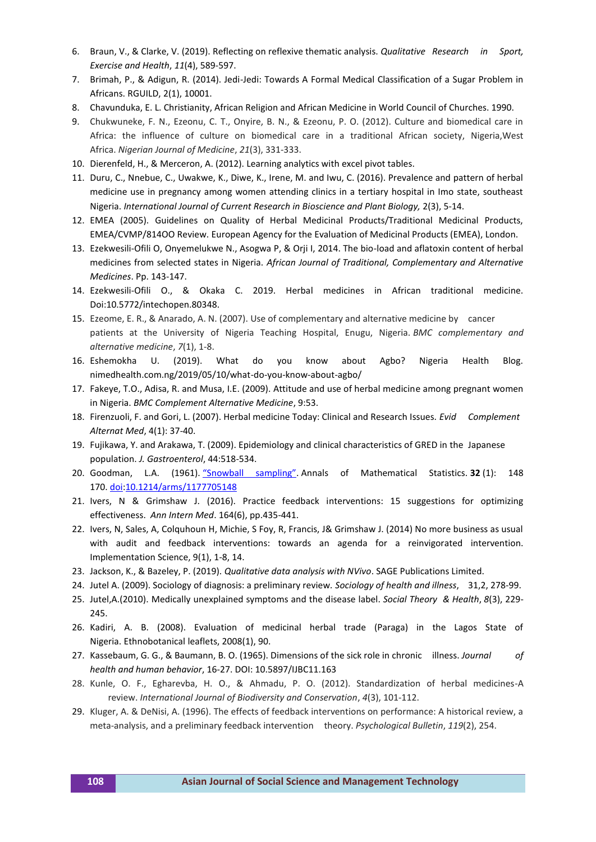- 6. Braun, V., & Clarke, V. (2019). Reflecting on reflexive thematic analysis. *Qualitative Research in Sport, Exercise and Health*, *11*(4), 589-597.
- 7. Brimah, P., & Adigun, R. (2014). Jedi-Jedi: Towards A Formal Medical Classification of a Sugar Problem in Africans. RGUILD, 2(1), 10001.
- 8. Chavunduka, E. L. Christianity, African Religion and African Medicine in World Council of Churches. 1990.
- 9. Chukwuneke, F. N., Ezeonu, C. T., Onyire, B. N., & Ezeonu, P. O. (2012). Culture and biomedical care in Africa: the influence of culture on biomedical care in a traditional African society, Nigeria,West Africa. *Nigerian Journal of Medicine*, *21*(3), 331-333.
- 10. Dierenfeld, H., & Merceron, A. (2012). Learning analytics with excel pivot tables.
- 11. Duru, C., Nnebue, C., Uwakwe, K., Diwe, K., Irene, M. and Iwu, C. (2016). Prevalence and pattern of herbal medicine use in pregnancy among women attending clinics in a tertiary hospital in Imo state, southeast Nigeria. *International Journal of Current Research in Bioscience and Plant Biology,* 2(3), 5-14.
- 12. EMEA (2005). Guidelines on Quality of Herbal Medicinal Products/Traditional Medicinal Products, EMEA/CVMP/814OO Review. European Agency for the Evaluation of Medicinal Products (EMEA), London.
- 13. Ezekwesili-Ofili O, Onyemelukwe N., Asogwa P, & Orji I, 2014. The bio-load and aflatoxin content of herbal medicines from selected states in Nigeria. *African Journal of Traditional, Complementary and Alternative Medicines*. Pp. 143-147.
- 14. Ezekwesili-Ofili O., & Okaka C. 2019. Herbal medicines in African traditional medicine. Doi:10.5772/intechopen.80348.
- 15. Ezeome, E. R., & Anarado, A. N. (2007). Use of complementary and alternative medicine by cancer patients at the University of Nigeria Teaching Hospital, Enugu, Nigeria. *BMC complementary and alternative medicine*, *7*(1), 1-8.
- 16. Eshemokha U. (2019). What do you know about Agbo? Nigeria Health Blog. nimedhealth.com.ng/2019/05/10/what-do-you-know-about-agbo/
- 17. Fakeye, T.O., Adisa, R. and Musa, I.E. (2009). Attitude and use of herbal medicine among pregnant women in Nigeria. *BMC Complement Alternative Medicine*, 9:53.
- 18. Firenzuoli, F. and Gori, L. (2007). Herbal medicine Today: Clinical and Research Issues. *Evid Complement Alternat Med*, 4(1): 37-40.
- 19. Fujikawa, Y. and Arakawa, T. (2009). Epidemiology and clinical characteristics of GRED in the Japanese population. *J. Gastroenterol*, 44:518-534.
- 20. Goodman, L.A. (1961). ["Snowball sampling"](https://doi.org/10.1214/aoms/1177705148). Annals of Mathematical Statistics. **32** (1): 148 170. [doi](https://en.wikipedia.org/wiki/Doi_(identifier))[:10.1214/arms/1177705148](https://doi.org/10.1214%2Faoms%2F1177705148)
- 21. Ivers, N & Grimshaw J. (2016). Practice feedback interventions: 15 suggestions for optimizing effectiveness. *Ann Intern Med*. 164(6), pp.435-441.
- 22. Ivers, N, Sales, A, Colquhoun H, Michie, S Foy, R, Francis, J& Grimshaw J. (2014) No more business as usual with audit and feedback interventions: towards an agenda for a reinvigorated intervention. Implementation Science, 9(1), 1-8, 14.
- 23. Jackson, K., & Bazeley, P. (2019). *Qualitative data analysis with NVivo*. SAGE Publications Limited.
- 24. Jutel A. (2009). Sociology of diagnosis: a preliminary review*. Sociology of health and illness*, 31,2, 278-99.
- 25. Jutel,A.(2010). Medically unexplained symptoms and the disease label. *Social Theory & Health*, *8*(3), 229- 245.
- 26. Kadiri, A. B. (2008). Evaluation of medicinal herbal trade (Paraga) in the Lagos State of Nigeria. Ethnobotanical leaflets, 2008(1), 90.
- 27. Kassebaum, G. G., & Baumann, B. O. (1965). Dimensions of the sick role in chronic illness. *Journal of health and human behavior*, 16-27. DOI: 10.5897/IJBC11.163
- 28. Kunle, O. F., Egharevba, H. O., & Ahmadu, P. O. (2012). Standardization of herbal medicines-A review. *International Journal of Biodiversity and Conservation*, *4*(3), 101-112.
- 29. Kluger, A. & DeNisi, A. (1996). The effects of feedback interventions on performance: A historical review, a meta-analysis, and a preliminary feedback intervention theory. *Psychological Bulletin*, *119*(2), 254.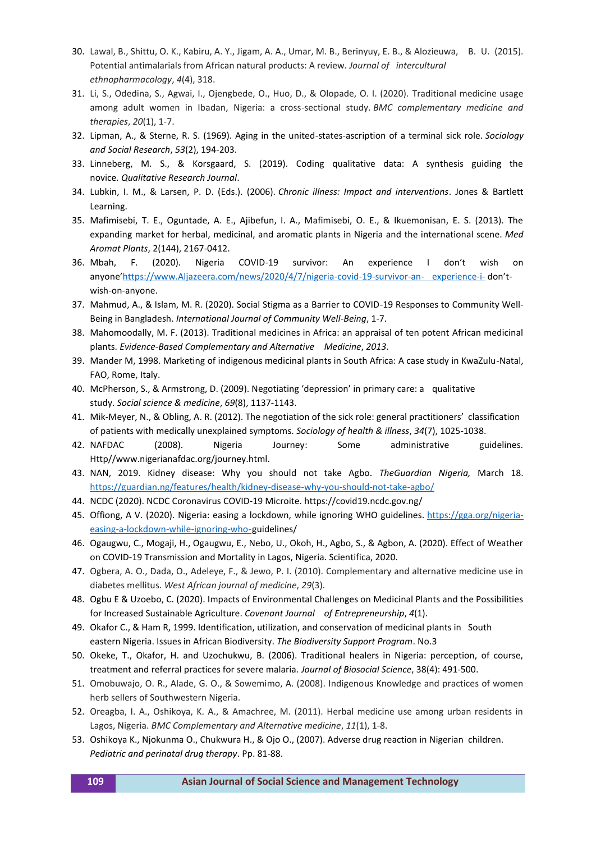- 30. Lawal, B., Shittu, O. K., Kabiru, A. Y., Jigam, A. A., Umar, M. B., Berinyuy, E. B., & Alozieuwa, B. U. (2015). Potential antimalarials from African natural products: A review. *Journal of intercultural ethnopharmacology*, *4*(4), 318.
- 31. Li, S., Odedina, S., Agwai, I., Ojengbede, O., Huo, D., & Olopade, O. I. (2020). Traditional medicine usage among adult women in Ibadan, Nigeria: a cross-sectional study. *BMC complementary medicine and therapies*, *20*(1), 1-7.
- 32. Lipman, A., & Sterne, R. S. (1969). Aging in the united-states-ascription of a terminal sick role. *Sociology and Social Research*, *53*(2), 194-203.
- 33. Linneberg, M. S., & Korsgaard, S. (2019). Coding qualitative data: A synthesis guiding the novice. *Qualitative Research Journal*.
- 34. Lubkin, I. M., & Larsen, P. D. (Eds.). (2006). *Chronic illness: Impact and interventions*. Jones & Bartlett Learning.
- 35. Mafimisebi, T. E., Oguntade, A. E., Ajibefun, I. A., Mafimisebi, O. E., & Ikuemonisan, E. S. (2013). The expanding market for herbal, medicinal, and aromatic plants in Nigeria and the international scene. *Med Aromat Plants*, 2(144), 2167-0412.
- 36. Mbah, F. (2020). Nigeria COVID-19 survivor: An experience I don't wish on anyone'[https://www.Aljazeera.com/news/2020/4/7/nigeria-covid-19-survivor-an-](https://www.aljazeera.com/news/2020/4/7/nigeria-covid-19-survivor-an-%09experience-i-) experience-i- don'twish-on-anyone.
- 37. Mahmud, A., & Islam, M. R. (2020). Social Stigma as a Barrier to COVID-19 Responses to Community Well-Being in Bangladesh. *International Journal of Community Well-Being*, 1-7.
- 38. Mahomoodally, M. F. (2013). Traditional medicines in Africa: an appraisal of ten potent African medicinal plants. *Evidence-Based Complementary and Alternative Medicine*, *2013*.
- 39. Mander M, 1998. Marketing of indigenous medicinal plants in South Africa: A case study in KwaZulu-Natal, FAO, Rome, Italy.
- 40. McPherson, S., & Armstrong, D. (2009). Negotiating 'depression' in primary care: a qualitative study. *Social science & medicine*, *69*(8), 1137-1143.
- 41. Mik‐Meyer, N., & Obling, A. R. (2012). The negotiation of the sick role: general practitioners' classification of patients with medically unexplained symptoms. *Sociology of health & illness*, *34*(7), 1025-1038.
- 42. NAFDAC (2008). Nigeria Journey: Some administrative guidelines. Http//www.nigerianafdac.org/journey.html.
- 43. NAN, 2019. Kidney disease: Why you should not take Agbo. *TheGuardian Nigeria,* March 18. <https://guardian.ng/features/health/kidney-disease-why-you-should-not-take-agbo/>
- 44. NCDC (2020). NCDC Coronavirus COVID-19 Microite. https://covid19.ncdc.gov.ng/
- 45. Offiong, A V. (2020). Nigeria: easing a lockdown, while ignoring WHO guidelines. [https://gga.org/nigeria](https://gga.org/nigeria-easing-a-lockdown-while-ignoring-who-)[easing-a-lockdown-while-ignoring-who-g](https://gga.org/nigeria-easing-a-lockdown-while-ignoring-who-)uidelines/
- 46. Ogaugwu, C., Mogaji, H., Ogaugwu, E., Nebo, U., Okoh, H., Agbo, S., & Agbon, A. (2020). Effect of Weather on COVID-19 Transmission and Mortality in Lagos, Nigeria. Scientifica, 2020.
- 47. Ogbera, A. O., Dada, O., Adeleye, F., & Jewo, P. I. (2010). Complementary and alternative medicine use in diabetes mellitus. *West African journal of medicine*, *29*(3).
- 48. Ogbu E & Uzoebo, C. (2020). Impacts of Environmental Challenges on Medicinal Plants and the Possibilities for Increased Sustainable Agriculture. *Covenant Journal of Entrepreneurship*, *4*(1).
- 49. Okafor C., & Ham R, 1999. Identification, utilization, and conservation of medicinal plants in South eastern Nigeria. Issues in African Biodiversity. *The Biodiversity Support Program*. No.3
- 50. Okeke, T., Okafor, H. and Uzochukwu, B. (2006). Traditional healers in Nigeria: perception, of course, treatment and referral practices for severe malaria. *Journal of Biosocial Science*, 38(4): 491-500.
- 51. Omobuwajo, O. R., Alade, G. O., & Sowemimo, A. (2008). Indigenous Knowledge and practices of women herb sellers of Southwestern Nigeria.
- 52. Oreagba, I. A., Oshikoya, K. A., & Amachree, M. (2011). Herbal medicine use among urban residents in Lagos, Nigeria. *BMC Complementary and Alternative medicine*, *11*(1), 1-8.
- 53. Oshikoya K., Njokunma O., Chukwura H., & Ojo O., (2007). Adverse drug reaction in Nigerian children. *Pediatric and perinatal drug therapy*. Pp. 81-88.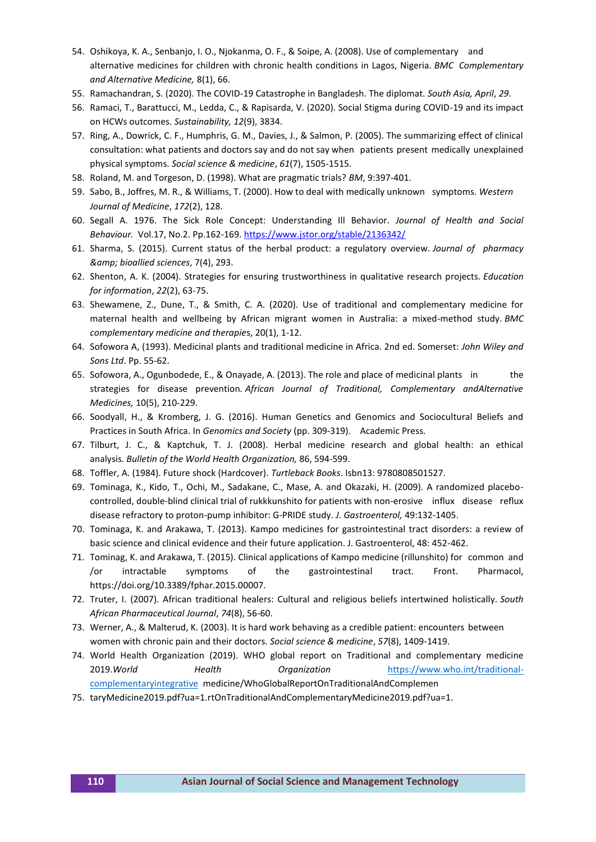- 54. Oshikoya, K. A., Senbanjo, I. O., Njokanma, O. F., & Soipe, A. (2008). Use of complementary and alternative medicines for children with chronic health conditions in Lagos, Nigeria. *BMC Complementary and Alternative Medicine,* 8(1), 66.
- 55. Ramachandran, S. (2020). The COVID-19 Catastrophe in Bangladesh. The diplomat. *South Asia, April*, *29*.
- 56. Ramaci, T., Barattucci, M., Ledda, C., & Rapisarda, V. (2020). Social Stigma during COVID-19 and its impact on HCWs outcomes. *Sustainability, 12*(9), 3834.
- 57. Ring, A., Dowrick, C. F., Humphris, G. M., Davies, J., & Salmon, P. (2005). The summarizing effect of clinical consultation: what patients and doctors say and do not say when patients present medically unexplained physical symptoms. *Social science & medicine*, *61*(7), 1505-1515.
- 58. Roland, M. and Torgeson, D. (1998). What are pragmatic trials? *BM*, 9:397-401.
- 59. Sabo, B., Joffres, M. R., & Williams, T. (2000). How to deal with medically unknown symptoms. *Western Journal of Medicine*, *172*(2), 128.
- 60. Segall A. 1976. The Sick Role Concept: Understanding Ill Behavior. *Journal of Health and Social Behaviour.* Vol.17, No.2. Pp.162-169.<https://www.jstor.org/stable/2136342/>
- 61. Sharma, S. (2015). Current status of the herbal product: a regulatory overview*. Journal of pharmacy & bioallied sciences*, 7(4), 293.
- 62. Shenton, A. K. (2004). Strategies for ensuring trustworthiness in qualitative research projects. *Education for information*, *22*(2), 63-75.
- 63. Shewamene, Z., Dune, T., & Smith, C. A. (2020). Use of traditional and complementary medicine for maternal health and wellbeing by African migrant women in Australia: a mixed-method study. *BMC complementary medicine and therapie*s, 20(1), 1-12.
- 64. Sofowora A, (1993). Medicinal plants and traditional medicine in Africa. 2nd ed. Somerset: *John Wiley and Sons Ltd*. Pp. 55-62.
- 65. Sofowora, A., Ogunbodede, E., & Onayade, A. (2013). The role and place of medicinal plants in the strategies for disease prevention*. African Journal of Traditional, Complementary andAlternative Medicines,* 10(5), 210-229.
- 66. Soodyall, H., & Kromberg, J. G. (2016). Human Genetics and Genomics and Sociocultural Beliefs and Practices in South Africa. In *Genomics and Society* (pp. 309-319). Academic Press.
- 67. Tilburt, J. C., & Kaptchuk, T. J. (2008). Herbal medicine research and global health: an ethical analysis. *Bulletin of the World Health Organization,* 86, 594-599.
- 68. Toffler, A. (1984). Future shock (Hardcover). *Turtleback Books*. Isbn13: 9780808501527.
- 69. Tominaga, K., Kido, T., Ochi, M., Sadakane, C., Mase, A. and Okazaki, H. (2009). A randomized placebocontrolled, double-blind clinical trial of rukkkunshito for patients with non-erosive influx disease reflux disease refractory to proton-pump inhibitor: G-PRIDE study. *J. Gastroenterol,* 49:132-1405.
- 70. Tominaga, K. and Arakawa, T. (2013). Kampo medicines for gastrointestinal tract disorders: a review of basic science and clinical evidence and their future application. J. Gastroenterol, 48: 452-462.
- 71. Tominag, K. and Arakawa, T. (2015). Clinical applications of Kampo medicine (rillunshito) for common and /or intractable symptoms of the gastrointestinal tract. Front. Pharmacol, https://doi.org/10.3389/fphar.2015.00007.
- 72. Truter, I. (2007). African traditional healers: Cultural and religious beliefs intertwined holistically. *South African Pharmaceutical Journal*, *74*(8), 56-60.
- 73. Werner, A., & Malterud, K. (2003). It is hard work behaving as a credible patient: encounters between women with chronic pain and their doctors. *Social science & medicine*, *57*(8), 1409-1419.
- 74. World Health Organization (2019). WHO global report on Traditional and complementary medicine 2019.*World Health Organization* [https://www.who.int/traditional](https://www.who.int/traditional-complementaryintegrative)[complementaryintegrative](https://www.who.int/traditional-complementaryintegrative) medicine/WhoGlobalReportOnTraditionalAndComplemen
- 75. taryMedicine2019.pdf?ua=1.rtOnTraditionalAndComplementaryMedicine2019.pdf?ua=1.